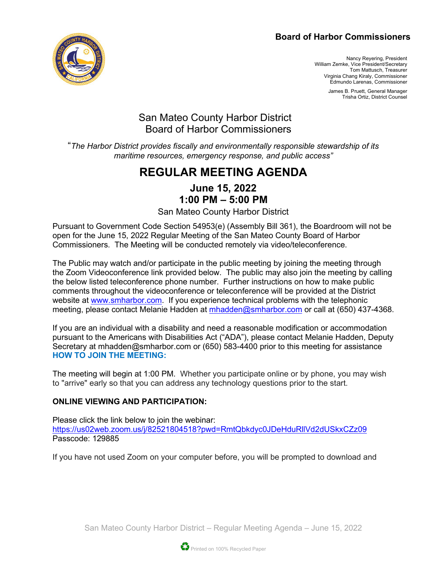#### **Board of Harbor Commissioners**



Nancy Reyering, President William Zemke, Vice President/Secretary Tom Mattusch, Treasurer Virginia Chang Kiraly, Commissioner Edmundo Larenas, Commissioner

> James B. Pruett, General Manager Trisha Ortiz, District Counsel

# San Mateo County Harbor District Board of Harbor Commissioners

"*The Harbor District provides fiscally and environmentally responsible stewardship of its maritime resources, emergency response, and public access"*

# **REGULAR MEETING AGENDA**

### **June 15, 2022 1:00 PM – 5:00 PM**

San Mateo County Harbor District

Pursuant to Government Code Section 54953(e) (Assembly Bill 361), the Boardroom will not be open for the June 15, 2022 Regular Meeting of the San Mateo County Board of Harbor Commissioners. The Meeting will be conducted remotely via video/teleconference.

The Public may watch and/or participate in the public meeting by joining the meeting through the Zoom Videoconference link provided below. The public may also join the meeting by calling the below listed teleconference phone number. Further instructions on how to make public comments throughout the videoconference or teleconference will be provided at the District website at [www.smharbor.com.](http://www.smharbor.com/) If you experience technical problems with the telephonic meeting, please contact Melanie Hadden at [mhadden@smharbor.com](mailto:mhadden@smharbor.com) or call at (650) 437-4368.

If you are an individual with a disability and need a reasonable modification or accommodation pursuant to the Americans with Disabilities Act ("ADA"), please contact Melanie Hadden, Deputy Secretary at mhadden@smharbor.com or (650) 583-4400 prior to this meeting for assistance **HOW TO JOIN THE MEETING:**

The meeting will begin at 1:00 PM. Whether you participate online or by phone, you may wish to "arrive" early so that you can address any technology questions prior to the start.

#### **ONLINE VIEWING AND PARTICIPATION:**

Please click the link below to join the webinar: <https://us02web.zoom.us/j/82521804518?pwd=RmtQbkdyc0JDeHduRllVd2dUSkxCZz09> Passcode: 129885

If you have not used Zoom on your computer before, you will be prompted to download and

San Mateo County Harbor District – Regular Meeting Agenda – June 15, 2022

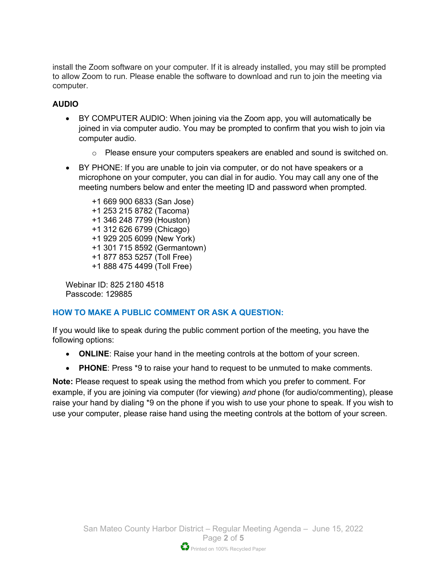install the Zoom software on your computer. If it is already installed, you may still be prompted to allow Zoom to run. Please enable the software to download and run to join the meeting via computer.

#### **AUDIO**

- BY COMPUTER AUDIO: When joining via the Zoom app, you will automatically be joined in via computer audio. You may be prompted to confirm that you wish to join via computer audio.
	- $\circ$  Please ensure your computers speakers are enabled and sound is switched on.
- BY PHONE: If you are unable to join via computer, or do not have speakers or a microphone on your computer, you can dial in for audio. You may call any one of the meeting numbers below and enter the meeting ID and password when prompted.

+1 669 900 6833 (San Jose) +1 253 215 8782 (Tacoma) +1 346 248 7799 (Houston) +1 312 626 6799 (Chicago) +1 929 205 6099 (New York) +1 301 715 8592 (Germantown) +1 877 853 5257 (Toll Free) +1 888 475 4499 (Toll Free)

Webinar ID: 825 2180 4518 Passcode: 129885

#### **HOW TO MAKE A PUBLIC COMMENT OR ASK A QUESTION:**

If you would like to speak during the public comment portion of the meeting, you have the following options:

- **ONLINE**: Raise your hand in the meeting controls at the bottom of your screen.
- **PHONE**: Press \*9 to raise your hand to request to be unmuted to make comments.

**Note:** Please request to speak using the method from which you prefer to comment. For example, if you are joining via computer (for viewing) *and* phone (for audio/commenting), please raise your hand by dialing \*9 on the phone if you wish to use your phone to speak. If you wish to use your computer, please raise hand using the meeting controls at the bottom of your screen.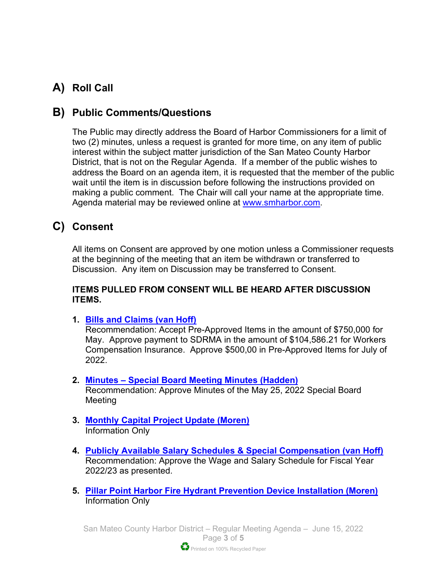# **A) Roll Call**

# **B) Public Comments/Questions**

The Public may directly address the Board of Harbor Commissioners for a limit of two (2) minutes, unless a request is granted for more time, on any item of public interest within the subject matter jurisdiction of the San Mateo County Harbor District, that is not on the Regular Agenda. If a member of the public wishes to address the Board on an agenda item, it is requested that the member of the public wait until the item is in discussion before following the instructions provided on making a public comment. The Chair will call your name at the appropriate time. Agenda material may be reviewed online at [www.smharbor.com.](http://www.smharbor.com/)

# **C) Consent**

All items on Consent are approved by one motion unless a Commissioner requests at the beginning of the meeting that an item be withdrawn or transferred to Discussion. Any item on Discussion may be transferred to Consent.

#### **ITEMS PULLED FROM CONSENT WILL BE HEARD AFTER DISCUSSION ITEMS.**

**1. [Bills and Claims \(van Hoff\)](https://www.smharbor.com/files/407ac3cc1/2022_06_15_Item_1_Bills+and+Claims+Staff+Report.pdf)**

Recommendation: Accept Pre-Approved Items in the amount of \$750,000 for May. Approve payment to SDRMA in the amount of \$104,586.21 for Workers Compensation Insurance. Approve \$500,00 in Pre-Approved Items for July of 2022.

**2. [Minutes – Special Board Meeting Minutes \(Hadden\)](https://www.smharbor.com/files/27726dcbf/2022_06_15_Item_2_Minutes+May+25+2022.pdf)**

Recommendation: Approve Minutes of the May 25, 2022 Special Board Meeting

- **3. [Monthly Capital Project Update \(Moren\)](https://www.smharbor.com/files/c18b471fb/2022_06_15_Item_3_Monthly_Capital_Project_Update_Staff+Report.pdf)** Information Only
- **4. [Publicly Available Salary Schedules & Special Compensation \(van Hoff\)](https://www.smharbor.com/files/b916c3e44/2022_06_15_Item_4_Salary_Schedule%26Special_Compensation_Staff_Report.pdf)** Recommendation: Approve the Wage and Salary Schedule for Fiscal Year 2022/23 as presented.
- **5. [Pillar Point Harbor Fire Hydrant Prevention Device Installation \(Moren\)](https://www.smharbor.com/files/c0080aa46/2022_06_15_Item_5_Backflow+PPH+Fire+Hydrant+Staff+Report.pdf)** Information Only

San Mateo County Harbor District – Regular Meeting Agenda – June 15, 2022 Page **3** of **5** Printed on 100% Recycled Paper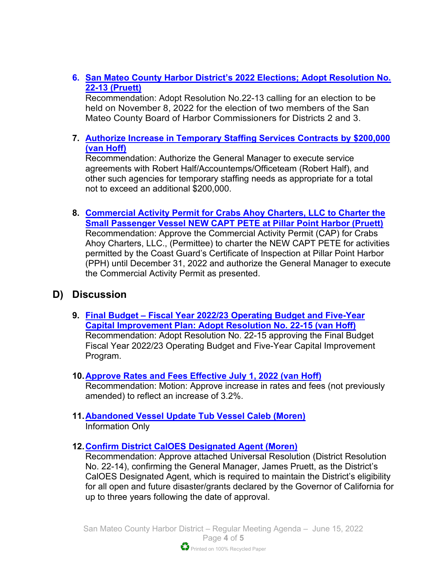**6. [San Mateo County Harbor District's 2022 Elections; Adopt Resolution No.](https://www.smharbor.com/files/423700ccd/2022_06_15_Item_6_Elections+Staff+Report.pdf)  22-13 [\(Pruett\)](https://www.smharbor.com/files/423700ccd/2022_06_15_Item_6_Elections+Staff+Report.pdf)** 

Recommendation: Adopt Resolution No.22-13 calling for an election to be held on November 8, 2022 for the election of two members of the San Mateo County Board of Harbor Commissioners for Districts 2 and 3.

#### **7. Authorize [Increase in Temporary Staffing Services Contracts by \\$200,000](https://www.smharbor.com/files/4c72a3d39/2022_06_15_Item_7_Temporary_Staffing_Funding_Staff+Report.pdf) [\(van Hoff\)](https://www.smharbor.com/files/4c72a3d39/2022_06_15_Item_7_Temporary_Staffing_Funding_Staff+Report.pdf)**

Recommendation: Authorize the General Manager to execute service agreements with Robert Half/Accountemps/Officeteam (Robert Half), and other such agencies for temporary staffing needs as appropriate for a total not to exceed an additional \$200,000.

**8. [Commercial Activity Permit for Crabs Ahoy Charters, LLC to Charter the](https://www.smharbor.com/files/2ce5d8c04/2022_06_15_Item_8_CAP_Crabs_Ahoy_Charters_Staff+Report.pdf)  [Small Passenger Vessel NEW CAPT PETE at Pillar Point Harbor \(Pruett\)](https://www.smharbor.com/files/2ce5d8c04/2022_06_15_Item_8_CAP_Crabs_Ahoy_Charters_Staff+Report.pdf)** Recommendation: Approve the Commercial Activity Permit (CAP) for Crabs Ahoy Charters, LLC., (Permittee) to charter the NEW CAPT PETE for activities permitted by the Coast Guard's Certificate of Inspection at Pillar Point Harbor (PPH) until December 31, 2022 and authorize the General Manager to execute the Commercial Activity Permit as presented.

## **D) Discussion**

- **9. [Final Budget Fiscal Year 2022/23 Operating Budget and Five-Year](https://www.smharbor.com/files/b1164ef5b/2022_06_15_Item_9_Final_Budget_Staff_Report.pdf)  [Capital Improvement Plan: Adopt Resolution No. 22-15 \(van Hoff\)](https://www.smharbor.com/files/b1164ef5b/2022_06_15_Item_9_Final_Budget_Staff_Report.pdf)** Recommendation: Adopt Resolution No. 22-15 approving the Final Budget Fiscal Year 2022/23 Operating Budget and Five-Year Capital Improvement Program.
- **10[.Approve Rates and Fees Effective July 1, 2022](https://www.smharbor.com/files/4083da765/2022_06_15_Item_10_Rates_and_Fees_Staff_Report.pdf) (van Hoff)**  Recommendation: Motion: Approve increase in rates and fees (not previously amended) to reflect an increase of 3.2%.
- **11[.Abandoned Vessel Update Tub Vessel Caleb \(Moren\)](https://www.smharbor.com/files/e9518e8be/2022_06_15_Item_11+Update+on+Abandoned+Vessel+Caleb+Staff+Report.pdf)**  Information Only
- **12[.Confirm District CalOES Designated Agent \(Moren\)](https://www.smharbor.com/files/7480fe83b/2022_06_15_Item_12_CalOES+Designated+Agent+Resolution+Staff+Report.pdf)**

Recommendation: Approve attached Universal Resolution (District Resolution No. 22-14), confirming the General Manager, James Pruett, as the District's CalOES Designated Agent, which is required to maintain the District's eligibility for all open and future disaster/grants declared by the Governor of California for up to three years following the date of approval.